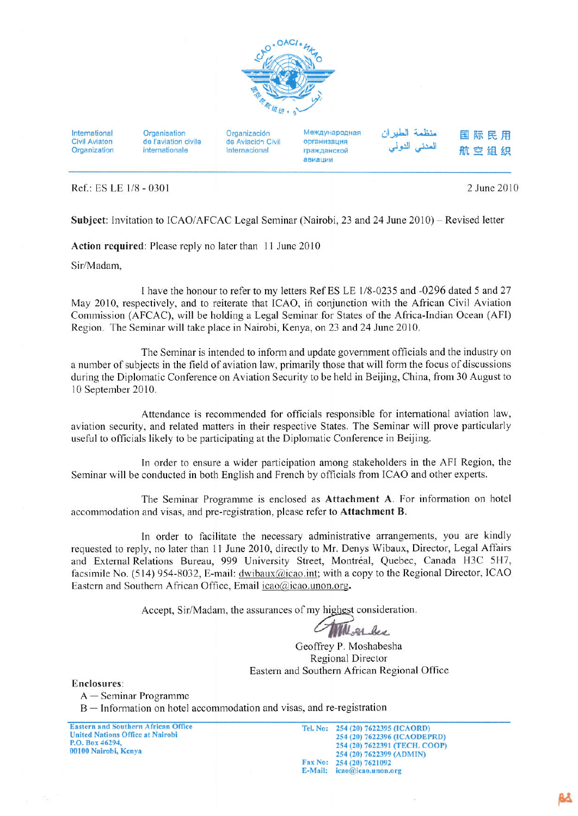

International **Civil Aviaton** Organization Organisation de l'aviation civile internationale

Organización de Aviación Civil Internacional

Международная организация гражданской авиации

نظمة الطبران المننى النولم

国际民用 航空组织

Ref.: ES LE 1/8 - 0301

2 June 2010

Subject: Invitation to ICAO/AFCAC Legal Seminar (Nairobi, 23 and 24 June 2010) – Revised letter

Action required: Please reply no later than 11 June 2010

Sir/Madam,

I have the honour to refer to my letters Ref ES LE 1/8-0235 and -0296 dated 5 and 27 May 2010, respectively, and to reiterate that ICAO, in conjunction with the African Civil Aviation Commission (AFCAC), will be holding a Legal Seminar for States of the Africa-Indian Ocean (AFI) Region. The Seminar will take place in Nairobi, Kenya, on 23 and 24 June 2010.

The Seminar is intended to inform and update government officials and the industry on a number of subjects in the field of aviation law, primarily those that will form the focus of discussions during the Diplomatic Conference on Aviation Security to be held in Beijing, China, from 30 August to 10 September 2010.

Attendance is recommended for officials responsible for international aviation law, aviation security, and related matters in their respective States. The Seminar will prove particularly useful to officials likely to be participating at the Diplomatic Conference in Beijing.

In order to ensure a wider participation among stakeholders in the AFI Region, the Seminar will be conducted in both English and French by officials from ICAO and other experts.

The Seminar Programme is enclosed as Attachment A. For information on hotel accommodation and visas, and pre-registration, please refer to Attachment B.

In order to facilitate the necessary administrative arrangements, you are kindly requested to reply, no later than 11 June 2010, directly to Mr. Denys Wibaux, Director, Legal Affairs and External Relations Bureau, 999 University Street, Montréal, Quebec, Canada H3C 5H7, facsimile No. (514) 954-8032, E-mail: dwibaux@icao.int; with a copy to the Regional Director, ICAO Eastern and Southern African Office, Email icao@icao.unon.org.

Accept, Sir/Madam, the assurances of my highest consideration.

User bee

Geoffrey P. Moshabesha Regional Director Eastern and Southern African Regional Office

Enclosures:

 $A -$ Seminar Programme

B - Information on hotel accommodation and visas, and re-registration

**Eastern and Southern African Office United Nations Office at Nairobi** P.O. Box 46294, 00100 Nairobi, Kenya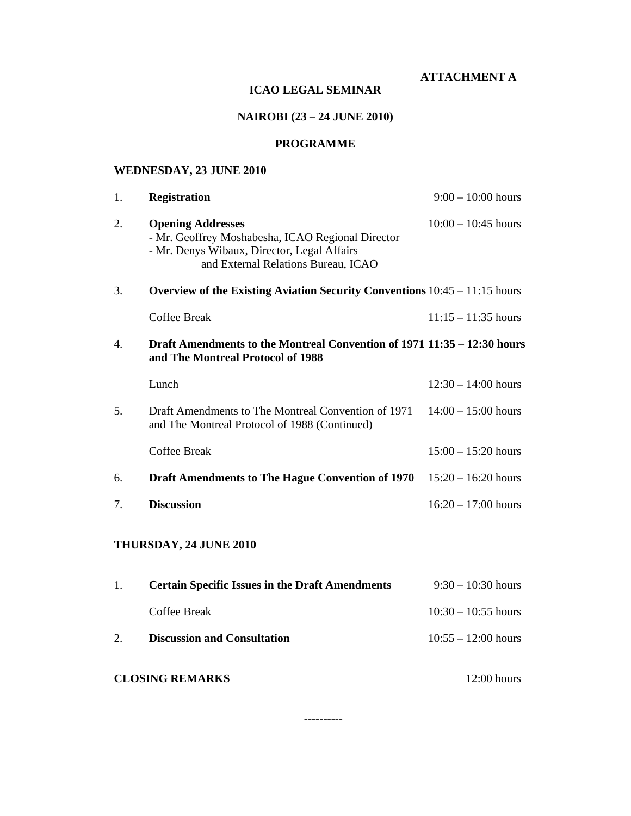**ATTACHMENT A** 

## **ICAO LEGAL SEMINAR**

# **NAIROBI (23 – 24 JUNE 2010)**

# **PROGRAMME**

# **WEDNESDAY, 23 JUNE 2010**

| 1. | <b>Registration</b>                                                                                                                                                 | $9:00 - 10:00$ hours  |  |  |  |  |
|----|---------------------------------------------------------------------------------------------------------------------------------------------------------------------|-----------------------|--|--|--|--|
| 2. | <b>Opening Addresses</b><br>- Mr. Geoffrey Moshabesha, ICAO Regional Director<br>- Mr. Denys Wibaux, Director, Legal Affairs<br>and External Relations Bureau, ICAO | $10:00 - 10:45$ hours |  |  |  |  |
| 3. | Overview of the Existing Aviation Security Conventions $10:45 - 11:15$ hours                                                                                        |                       |  |  |  |  |
|    | <b>Coffee Break</b>                                                                                                                                                 | $11:15 - 11:35$ hours |  |  |  |  |
| 4. | Draft Amendments to the Montreal Convention of 1971 11:35 – 12:30 hours<br>and The Montreal Protocol of 1988                                                        |                       |  |  |  |  |
|    | Lunch                                                                                                                                                               | $12:30 - 14:00$ hours |  |  |  |  |
| 5. | Draft Amendments to The Montreal Convention of 1971<br>and The Montreal Protocol of 1988 (Continued)                                                                | $14:00 - 15:00$ hours |  |  |  |  |
|    | <b>Coffee Break</b>                                                                                                                                                 | $15:00 - 15:20$ hours |  |  |  |  |
| 6. | <b>Draft Amendments to The Hague Convention of 1970</b>                                                                                                             | $15:20 - 16:20$ hours |  |  |  |  |
| 7. | <b>Discussion</b>                                                                                                                                                   | $16:20 - 17:00$ hours |  |  |  |  |
|    | THURSDAY, 24 JUNE 2010                                                                                                                                              |                       |  |  |  |  |
| 1. | <b>Certain Specific Issues in the Draft Amendments</b>                                                                                                              | $9:30 - 10:30$ hours  |  |  |  |  |
|    | <b>Coffee Break</b>                                                                                                                                                 | $10:30 - 10:55$ hours |  |  |  |  |
| 2. | <b>Discussion and Consultation</b>                                                                                                                                  | $10:55 - 12:00$ hours |  |  |  |  |

# **CLOSING REMARKS** 12:00 hours

----------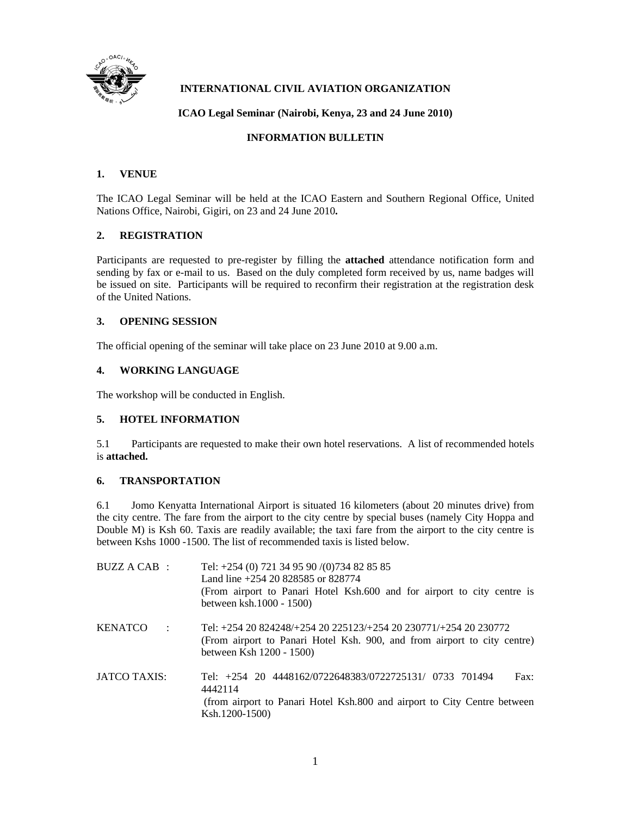

# **INTERNATIONAL CIVIL AVIATION ORGANIZATION**

#### **ICAO Legal Seminar (Nairobi, Kenya, 23 and 24 June 2010)**

#### **INFORMATION BULLETIN**

#### **1. VENUE**

The ICAO Legal Seminar will be held at the ICAO Eastern and Southern Regional Office, United Nations Office, Nairobi, Gigiri, on 23 and 24 June 2010**.** 

#### **2. REGISTRATION**

Participants are requested to pre-register by filling the **attached** attendance notification form and sending by fax or e-mail to us. Based on the duly completed form received by us, name badges will be issued on site. Participants will be required to reconfirm their registration at the registration desk of the United Nations.

#### **3. OPENING SESSION**

The official opening of the seminar will take place on 23 June 2010 at 9.00 a.m.

#### **4. WORKING LANGUAGE**

The workshop will be conducted in English.

#### **5. HOTEL INFORMATION**

5.1 Participants are requested to make their own hotel reservations. A list of recommended hotels is **attached.**

#### **6. TRANSPORTATION**

6.1 Jomo Kenyatta International Airport is situated 16 kilometers (about 20 minutes drive) from the city centre. The fare from the airport to the city centre by special buses (namely City Hoppa and Double M) is Ksh 60. Taxis are readily available; the taxi fare from the airport to the city centre is between Kshs 1000 -1500. The list of recommended taxis is listed below.

| BUZZ A CAB:                     | Tel: $+254$ (0) 721 34 95 90 /(0)734 82 85 85<br>Land line +254 20 828585 or 828774<br>(From airport to Panari Hotel Ksh.600 and for airport to city centre is<br>between ksh. 1000 - 1500) |
|---------------------------------|---------------------------------------------------------------------------------------------------------------------------------------------------------------------------------------------|
| <b>KENATCO</b><br>$\mathcal{L}$ | Tel: +254 20 824248/+254 20 225123/+254 20 230771/+254 20 230772<br>(From airport to Panari Hotel Ksh. 900, and from airport to city centre)<br>between Ksh 1200 - 1500)                    |
| JATCO TAXIS:                    | Tel: +254 20 4448162/0722648383/0722725131/ 0733 701494<br>Fax:<br>4442114<br>(from airport to Panari Hotel Ksh.800 and airport to City Centre between<br>Ksh.1200-1500)                    |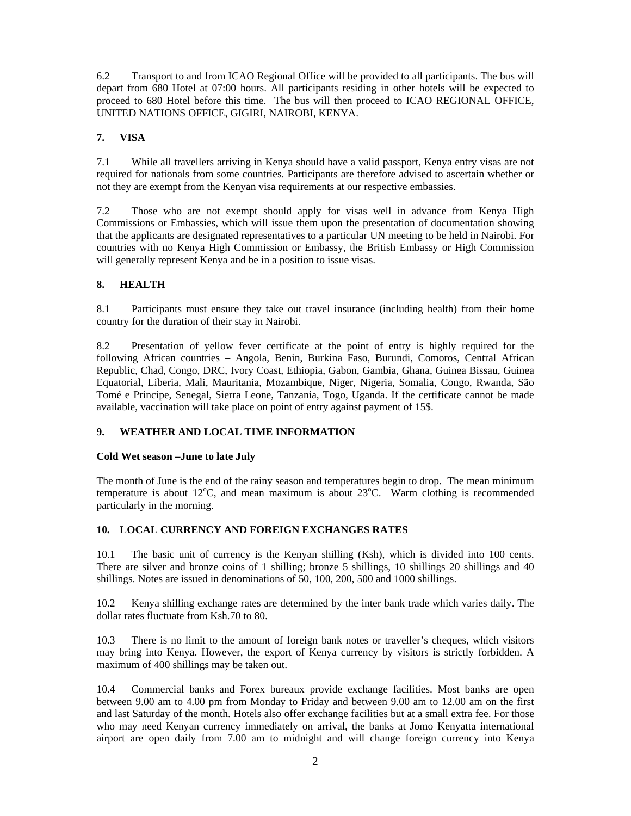6.2 Transport to and from ICAO Regional Office will be provided to all participants. The bus will depart from 680 Hotel at 07:00 hours. All participants residing in other hotels will be expected to proceed to 680 Hotel before this time. The bus will then proceed to ICAO REGIONAL OFFICE, UNITED NATIONS OFFICE, GIGIRI, NAIROBI, KENYA.

# **7. VISA**

7.1 While all travellers arriving in Kenya should have a valid passport, Kenya entry visas are not required for nationals from some countries. Participants are therefore advised to ascertain whether or not they are exempt from the Kenyan visa requirements at our respective embassies.

7.2 Those who are not exempt should apply for visas well in advance from Kenya High Commissions or Embassies, which will issue them upon the presentation of documentation showing that the applicants are designated representatives to a particular UN meeting to be held in Nairobi. For countries with no Kenya High Commission or Embassy, the British Embassy or High Commission will generally represent Kenya and be in a position to issue visas.

## **8. HEALTH**

8.1 Participants must ensure they take out travel insurance (including health) from their home country for the duration of their stay in Nairobi.

8.2 Presentation of yellow fever certificate at the point of entry is highly required for the following African countries – Angola, Benin, Burkina Faso, Burundi, Comoros, Central African Republic, Chad, Congo, DRC, Ivory Coast, Ethiopia, Gabon, Gambia, Ghana, Guinea Bissau, Guinea Equatorial, Liberia, Mali, Mauritania, Mozambique, Niger, Nigeria, Somalia, Congo, Rwanda, São Tomé e Principe, Senegal, Sierra Leone, Tanzania, Togo, Uganda. If the certificate cannot be made available, vaccination will take place on point of entry against payment of 15\$.

## **9. WEATHER AND LOCAL TIME INFORMATION**

#### **Cold Wet season –June to late July**

The month of June is the end of the rainy season and temperatures begin to drop. The mean minimum temperature is about  $12^{\circ}$ C, and mean maximum is about  $23^{\circ}$ C. Warm clothing is recommended particularly in the morning.

## **10. LOCAL CURRENCY AND FOREIGN EXCHANGES RATES**

10.1 The basic unit of currency is the Kenyan shilling (Ksh), which is divided into 100 cents. There are silver and bronze coins of 1 shilling; bronze 5 shillings, 10 shillings 20 shillings and 40 shillings. Notes are issued in denominations of 50, 100, 200, 500 and 1000 shillings.

10.2 Kenya shilling exchange rates are determined by the inter bank trade which varies daily. The dollar rates fluctuate from Ksh.70 to 80.

10.3 There is no limit to the amount of foreign bank notes or traveller's cheques, which visitors may bring into Kenya. However, the export of Kenya currency by visitors is strictly forbidden. A maximum of 400 shillings may be taken out.

10.4 Commercial banks and Forex bureaux provide exchange facilities. Most banks are open between 9.00 am to 4.00 pm from Monday to Friday and between 9.00 am to 12.00 am on the first and last Saturday of the month. Hotels also offer exchange facilities but at a small extra fee. For those who may need Kenyan currency immediately on arrival, the banks at Jomo Kenyatta international airport are open daily from 7.00 am to midnight and will change foreign currency into Kenya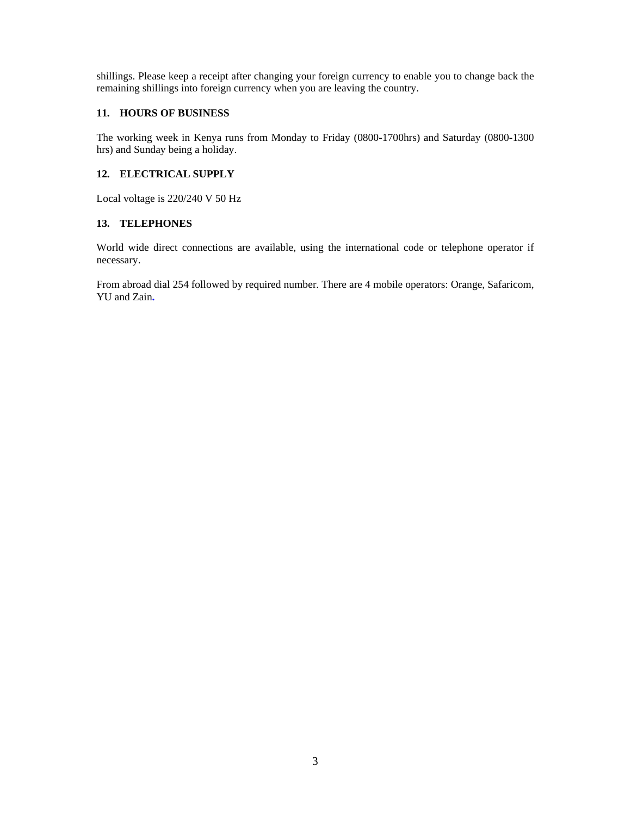shillings. Please keep a receipt after changing your foreign currency to enable you to change back the remaining shillings into foreign currency when you are leaving the country.

#### **11. HOURS OF BUSINESS**

The working week in Kenya runs from Monday to Friday (0800-1700hrs) and Saturday (0800-1300 hrs) and Sunday being a holiday.

#### **12. ELECTRICAL SUPPLY**

Local voltage is 220/240 V 50 Hz

#### **13. TELEPHONES**

World wide direct connections are available, using the international code or telephone operator if necessary.

From abroad dial 254 followed by required number. There are 4 mobile operators: Orange, Safaricom, YU and Zain**.**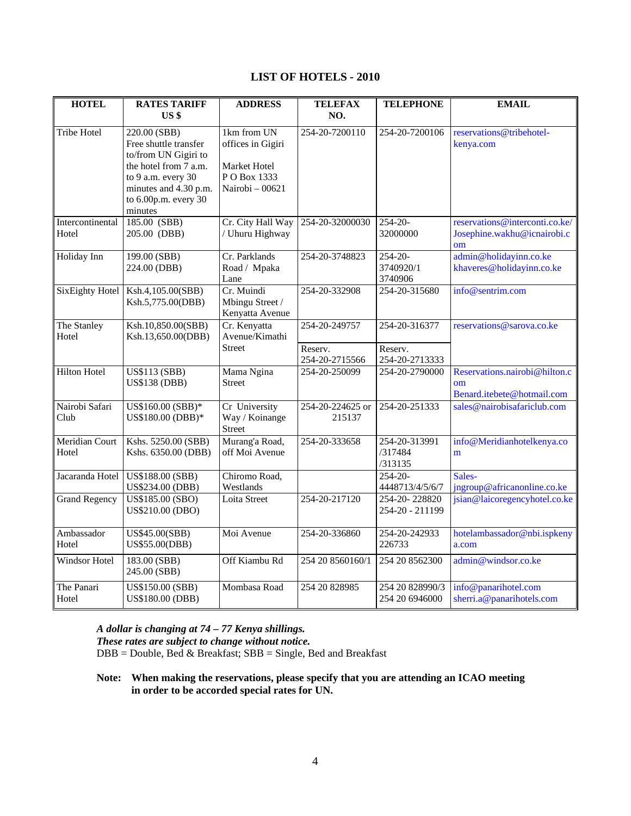# **LIST OF HOTELS - 2010**

| <b>HOTEL</b>            | <b>RATES TARIFF</b>                                                                                                                                                      | <b>ADDRESS</b>                                                                     | <b>TELEFAX</b>             | <b>TELEPHONE</b>                     | <b>EMAIL</b>                                                      |
|-------------------------|--------------------------------------------------------------------------------------------------------------------------------------------------------------------------|------------------------------------------------------------------------------------|----------------------------|--------------------------------------|-------------------------------------------------------------------|
|                         | US \$                                                                                                                                                                    |                                                                                    | NO.                        |                                      |                                                                   |
| <b>Tribe Hotel</b>      | 220.00 (SBB)<br>Free shuttle transfer<br>to/from UN Gigiri to<br>the hotel from 7 a.m.<br>to 9 a.m. every 30<br>minutes and 4.30 p.m.<br>to 6.00p.m. every 30<br>minutes | 1km from UN<br>offices in Gigiri<br>Market Hotel<br>PO Box 1333<br>Nairobi - 00621 | 254-20-7200110             | 254-20-7200106                       | reservations@tribehotel-<br>kenya.com                             |
| Intercontinental        | 185.00 (SBB)                                                                                                                                                             | Cr. City Hall Way                                                                  | 254-20-32000030            | $254 - 20$                           | reservations@interconti.co.ke/                                    |
| Hotel                   | 205.00 (DBB)                                                                                                                                                             | / Uhuru Highway                                                                    |                            | 32000000                             | Josephine.wakhu@icnairobi.c<br>om                                 |
| Holiday Inn             | 199.00 (SBB)<br>224.00 (DBB)                                                                                                                                             | Cr. Parklands<br>Road / Mpaka<br>Lane                                              | 254-20-3748823             | $254 - 20 -$<br>3740920/1<br>3740906 | admin@holidayinn.co.ke<br>khaveres@holidayinn.co.ke               |
| SixEighty Hotel         | Ksh.4,105.00(SBB)<br>Ksh.5,775.00(DBB)                                                                                                                                   | Cr. Muindi<br>Mbingu Street /<br>Kenyatta Avenue                                   | 254-20-332908              | 254-20-315680                        | info@sentrim.com                                                  |
| The Stanley             | Ksh.10,850.00(SBB)                                                                                                                                                       | Cr. Kenyatta                                                                       | 254-20-249757              | 254-20-316377                        | reservations@sarova.co.ke                                         |
| Hotel                   | Ksh.13,650.00(DBB)                                                                                                                                                       | Avenue/Kimathi                                                                     |                            |                                      |                                                                   |
|                         |                                                                                                                                                                          | <b>Street</b>                                                                      | Reserv.<br>254-20-2715566  | Reserv.<br>254-20-2713333            |                                                                   |
| <b>Hilton Hotel</b>     | <b>US\$113 (SBB)</b><br><b>US\$138 (DBB)</b>                                                                                                                             | Mama Ngina<br><b>Street</b>                                                        | 254-20-250099              | 254-20-2790000                       | Reservations.nairobi@hilton.c<br>om<br>Benard.itebete@hotmail.com |
| Nairobi Safari<br>Club  | US\$160.00 (SBB)*<br>US\$180.00 (DBB)*                                                                                                                                   | Cr University<br>Way / Koinange<br><b>Street</b>                                   | 254-20-224625 or<br>215137 | 254-20-251333                        | sales@nairobisafariclub.com                                       |
| Meridian Court<br>Hotel | Kshs. 5250.00 (SBB)<br>Kshs. 6350.00 (DBB)                                                                                                                               | Murang'a Road,<br>off Moi Avenue                                                   | 254-20-333658              | 254-20-313991<br>/317484<br>/313135  | info@Meridianhotelkenya.co<br>m                                   |
| Jacaranda Hotel         | US\$188.00 (SBB)<br>US\$234.00 (DBB)                                                                                                                                     | Chiromo Road,<br>Westlands                                                         |                            | $254 - 20 -$<br>4448713/4/5/6/7      | Sales-<br>jngroup@africanonline.co.ke                             |
| <b>Grand Regency</b>    | <b>US\$185.00 (SBO)</b><br>US\$210.00 (DBO)                                                                                                                              | Loita Street                                                                       | 254-20-217120              | 254-20-228820<br>254-20 - 211199     | jsian@laicoregencyhotel.co.ke                                     |
| Ambassador<br>Hotel     | US\$45.00(SBB)<br>US\$55.00(DBB)                                                                                                                                         | Moi Avenue                                                                         | 254-20-336860              | 254-20-242933<br>226733              | hotelambassador@nbi.ispkeny<br>a.com                              |
| Windsor Hotel           | 183.00 (SBB)<br>245.00 (SBB)                                                                                                                                             | Off Kiambu Rd                                                                      | 254 20 8560160/1           | 254 20 8562300                       | admin@windsor.co.ke                                               |
| The Panari<br>Hotel     | US\$150.00 (SBB)<br>US\$180.00 (DBB)                                                                                                                                     | Mombasa Road                                                                       | 254 20 828985              | 254 20 828990/3<br>254 20 6946000    | info@panarihotel.com<br>sherri.a@panarihotels.com                 |

*A dollar is changing at 74 – 77 Kenya shillings. These rates are subject to change without notice.*

DBB = Double, Bed & Breakfast; SBB = Single, Bed and Breakfast

**Note: When making the reservations, please specify that you are attending an ICAO meeting in order to be accorded special rates for UN.**